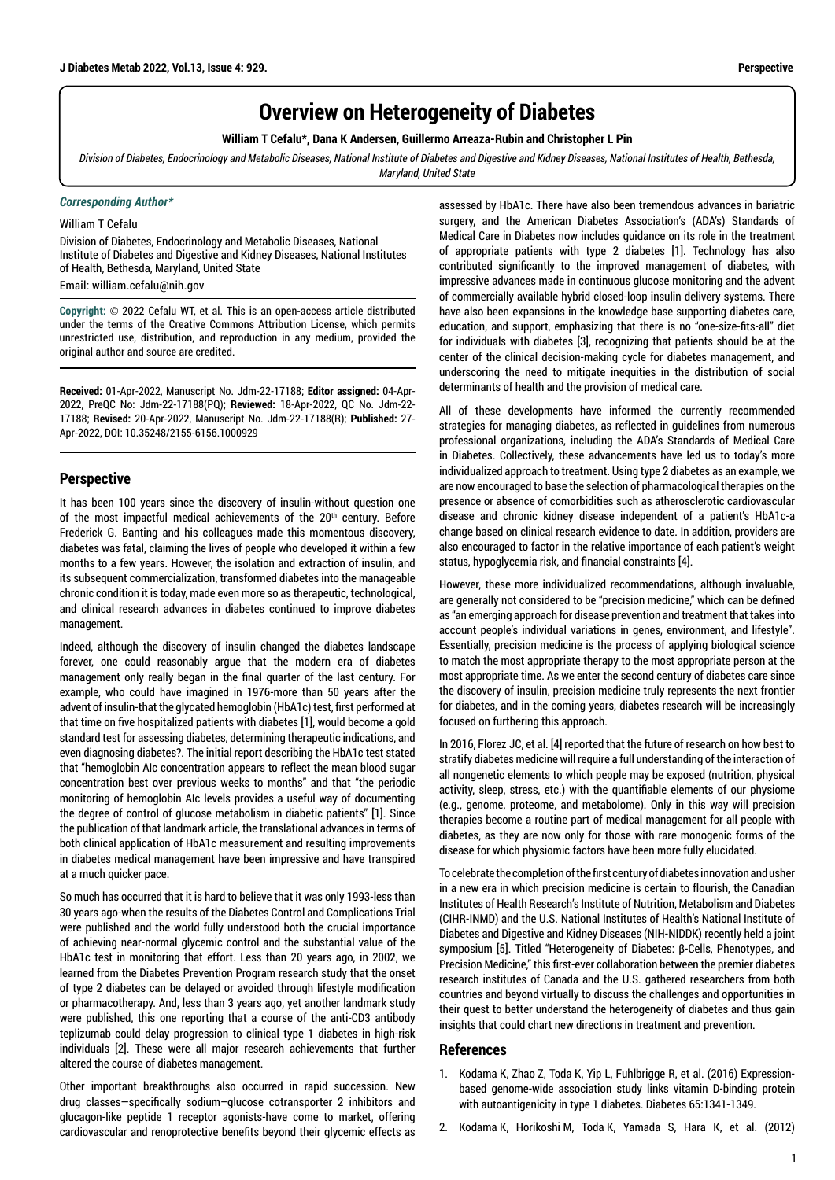## **Overview on Heterogeneity of Diabetes**

**William T Cefalu\*, Dana K Andersen, Guillermo Arreaza-Rubin and Christopher L Pin**

*Division of Diabetes, Endocrinology and Metabolic Diseases, National Institute of Diabetes and Digestive and Kidney Diseases, National Institutes of Health, Bethesda, Maryland, United State*

## *Corresponding Author\**

William T Cefalu

Division of Diabetes, Endocrinology and Metabolic Diseases, National Institute of Diabetes and Digestive and Kidney Diseases, National Institutes of Health, Bethesda, Maryland, United State

Email: william.cefalu@nih.gov

**Copyright: ©** 2022 Cefalu WT, et al. This is an open-access article distributed under the terms of the Creative Commons Attribution License, which permits unrestricted use, distribution, and reproduction in any medium, provided the original author and source are credited.

**Received:** 01-Apr-2022, Manuscript No. Jdm-22-17188; **Editor assigned:** 04-Apr-2022, PreQC No: Jdm-22-17188(PQ); **Reviewed:** 18-Apr-2022, QC No. Jdm-22- 17188; **Revised:** 20-Apr-2022, Manuscript No. Jdm-22-17188(R); **Published:** 27- Apr-2022, DOI: 10.35248/2155-6156.1000929

## **Perspective**

It has been 100 years since the discovery of insulin-without question one of the most impactful medical achievements of the 20<sup>th</sup> century. Before Frederick G. Banting and his colleagues made this momentous discovery, diabetes was fatal, claiming the lives of people who developed it within a few months to a few years. However, the isolation and extraction of insulin, and its subsequent commercialization, transformed diabetes into the manageable chronic condition it is today, made even more so as therapeutic, technological, and clinical research advances in diabetes continued to improve diabetes management.

Indeed, although the discovery of insulin changed the diabetes landscape forever, one could reasonably argue that the modern era of diabetes management only really began in the final quarter of the last century. For example, who could have imagined in 1976-more than 50 years after the advent of insulin-that the glycated hemoglobin (HbA1c) test, first performed at that time on five hospitalized patients with diabetes [1], would become a gold standard test for assessing diabetes, determining therapeutic indications, and even diagnosing diabetes?. The initial report describing the HbA1c test stated that "hemoglobin AIc concentration appears to reflect the mean blood sugar concentration best over previous weeks to months" and that "the periodic monitoring of hemoglobin AIc levels provides a useful way of documenting the degree of control of glucose metabolism in diabetic patients" [1]. Since the publication of that landmark article, the translational advances in terms of both clinical application of HbA1c measurement and resulting improvements in diabetes medical management have been impressive and have transpired at a much quicker pace.

So much has occurred that it is hard to believe that it was only 1993-less than 30 years ago-when the results of the Diabetes Control and Complications Trial were published and the world fully understood both the crucial importance of achieving near-normal glycemic control and the substantial value of the HbA1c test in monitoring that effort. Less than 20 years ago, in 2002, we learned from the Diabetes Prevention Program research study that the onset of type 2 diabetes can be delayed or avoided through lifestyle modification or pharmacotherapy. And, less than 3 years ago, yet another landmark study were published, this one reporting that a course of the anti-CD3 antibody teplizumab could delay progression to clinical type 1 diabetes in high-risk individuals [2]. These were all major research achievements that further altered the course of diabetes management.

Other important breakthroughs also occurred in rapid succession. New drug classes—specifically sodium–glucose cotransporter 2 inhibitors and glucagon-like peptide 1 receptor agonists-have come to market, offering cardiovascular and renoprotective benefits beyond their glycemic effects as

assessed by HbA1c. There have also been tremendous advances in bariatric surgery, and the American Diabetes Association's (ADA's) Standards of Medical Care in Diabetes now includes guidance on its role in the treatment of appropriate patients with type 2 diabetes [1]. Technology has also contributed significantly to the improved management of diabetes, with impressive advances made in continuous glucose monitoring and the advent of commercially available hybrid closed-loop insulin delivery systems. There have also been expansions in the knowledge base supporting diabetes care, education, and support, emphasizing that there is no "one-size-fits-all" diet for individuals with diabetes [3], recognizing that patients should be at the center of the clinical decision-making cycle for diabetes management, and underscoring the need to mitigate inequities in the distribution of social determinants of health and the provision of medical care.

All of these developments have informed the currently recommended strategies for managing diabetes, as reflected in guidelines from numerous professional organizations, including the ADA's Standards of Medical Care in Diabetes. Collectively, these advancements have led us to today's more individualized approach to treatment. Using type 2 diabetes as an example, we are now encouraged to base the selection of pharmacological therapies on the presence or absence of comorbidities such as atherosclerotic cardiovascular disease and chronic kidney disease independent of a patient's HbA1c-a change based on clinical research evidence to date. In addition, providers are also encouraged to factor in the relative importance of each patient's weight status, hypoglycemia risk, and financial constraints [4].

However, these more individualized recommendations, although invaluable, are generally not considered to be "precision medicine," which can be defined as "an emerging approach for disease prevention and treatment that takes into account people's individual variations in genes, environment, and lifestyle". Essentially, precision medicine is the process of applying biological science to match the most appropriate therapy to the most appropriate person at the most appropriate time. As we enter the second century of diabetes care since the discovery of insulin, precision medicine truly represents the next frontier for diabetes, and in the coming years, diabetes research will be increasingly focused on furthering this approach.

In 2016, Florez JC, et al. [4] reported that the future of research on how best to stratify diabetes medicine will require a full understanding of the interaction of all nongenetic elements to which people may be exposed (nutrition, physical activity, sleep, stress, etc.) with the quantifiable elements of our physiome (e.g., genome, proteome, and metabolome). Only in this way will precision therapies become a routine part of medical management for all people with diabetes, as they are now only for those with rare monogenic forms of the disease for which physiomic factors have been more fully elucidated.

To celebrate the completion of the first century of diabetes innovation and usher in a new era in which precision medicine is certain to flourish, the Canadian Institutes of Health Research's Institute of Nutrition, Metabolism and Diabetes (CIHR-INMD) and the U.S. National Institutes of Health's National Institute of Diabetes and Digestive and Kidney Diseases (NIH-NIDDK) recently held a joint symposium [5]. Titled "Heterogeneity of Diabetes: β-Cells, Phenotypes, and Precision Medicine," this first-ever collaboration between the premier diabetes research institutes of Canada and the U.S. gathered researchers from both countries and beyond virtually to discuss the challenges and opportunities in their quest to better understand the heterogeneity of diabetes and thus gain insights that could chart new directions in treatment and prevention.

## **References**

- 1. Kodama K, Zhao Z, Toda K, Yip L, Fuhlbrigge R, et al. (2016) [Expression](https://diabetesjournals.org/diabetes/article-lookup/doi/10.2337/db15-1308)[based genome-wide association study links vitamin D-binding protein](https://diabetesjournals.org/diabetes/article-lookup/doi/10.2337/db15-1308)  [with autoantigenicity in type 1 diabetes.](https://diabetesjournals.org/diabetes/article-lookup/doi/10.2337/db15-1308) Diabetes 65:1341-1349.
- 2. Kodama K, Horikoshi M, Toda K, Yamada S, Hara K, et al. (2012)